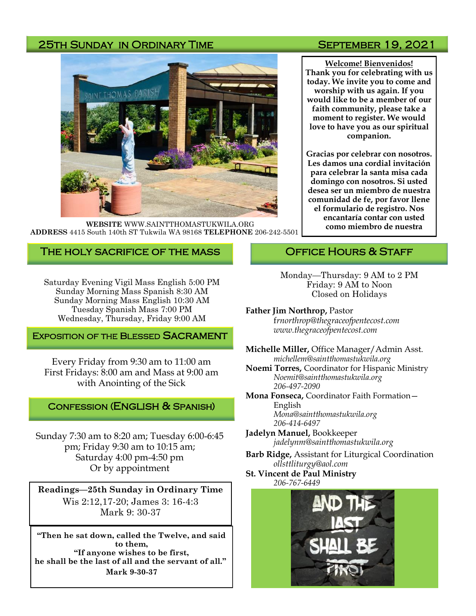## 25TH SUNDAY IN ORDINARY TIME SEPTEMBER 19, 2021



**WEBSITE** WWW.SAINTTHOMASTUKWILA.ORG **ADDRESS** 4415 South 140th ST Tukwila WA 98168 **TELEPHONE** 206-242-5501

## The holy sacrifice of the mass

Saturday Evening Vigil Mass English 5:00 PM Sunday Morning Mass Spanish 8:30 AM Sunday Morning Mass English 10:30 AM Tuesday Spanish Mass 7:00 PM Wednesday, Thursday, Friday 9:00 AM

## **EXPOSITION OF THE BLESSED SACRAMENT**

Every Friday from 9:30 am to 11:00 am First Fridays: 8:00 am and Mass at 9:00 am with Anointing of the Sick

## Confession (English & Spanish)

Sunday 7:30 am to 8:20 am; Tuesday 6:00-6:45 pm; Friday 9:30 am to 10:15 am; Saturday 4:00 pm-4:50 pm Or by appointment

**Readings—25th Sunday in Ordinary Time**  Wis 2:12,17-20; James 3: 16-4:3 Mark 9: 30-37

**"Then he sat down, called the Twelve, and said to them, "If anyone wishes to be first, he shall be the last of all and the servant of all." Mark 9-30-37**

**Welcome! Bienvenidos! Thank you for celebrating with us today. We invite you to come and worship with us again. If you would like to be a member of our faith community, please take a moment to register. We would love to have you as our spiritual companion.** 

**Gracias por celebrar con nosotros. Les damos una cordial invitación para celebrar la santa misa cada domingo con nosotros. Si usted desea ser un miembro de nuestra comunidad de fe, por favor llene el formulario de registro. Nos encantaría contar con usted como miembro de nuestra** 

## OFFICE HOURS & STAFF

- Monday—Thursday: 9 AM to 2 PM Friday: 9 AM to Noon Closed on Holidays
- **Father Jim Northrop,** Pastor f*rnorthrop@thegraceofpentecost.com www.thegraceofpentecost.com*
- **Michelle Miller,** Office Manager/Admin Asst. *michellem@saintthomastukwila.org*
- **Noemi Torres,** Coordinator for Hispanic Ministry *Noemit@saintthomastukwila.org 206-497-2090*
- **Mona Fonseca,** Coordinator Faith Formation— English *Mona@saintthomastukwila.org 206-414-6497*
- **Jadelyn Manuel,** Bookkeeper *jadelynm@saintthomastukwila.org*
- **Barb Ridge,** Assistant for Liturgical Coordination *ollsttliturgy@aol.com*
- **St. Vincent de Paul Ministry** *206-767-6449*

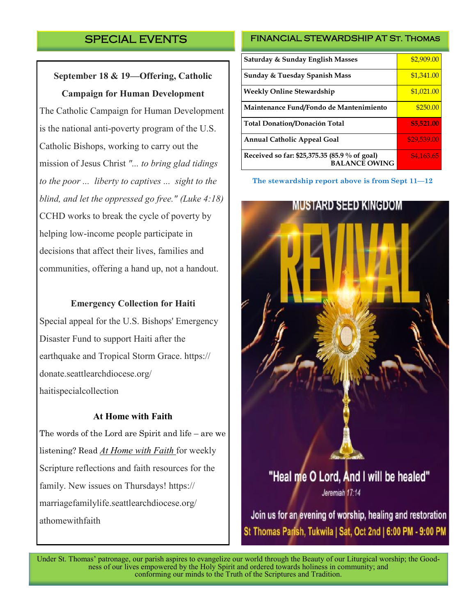# SPECIAL EVENTS

**September 18 & 19—Offering, Catholic Campaign for Human Development** 

The Catholic Campaign for Human Development is the national anti-poverty program of the U.S. Catholic Bishops, working to carry out the mission of Jesus Christ *"... to bring glad tidings to the poor ... liberty to captives ... sight to the blind, and let the oppressed go free." (Luke 4:18)*  CCHD works to break the cycle of poverty by helping low-income people participate in decisions that affect their lives, families and communities, offering a hand up, not a handout.

#### **Emergency Collection for Haiti**

Special appeal for the U.S. Bishops' Emergency Disaster Fund to support Haiti after the earthquake and Tropical Storm Grace. https:// donate.seattlearchdiocese.org/ haitispecialcollection

## **At Home with Faith**

The words of the Lord are Spirit and life – are we listening? Read *[At Home with Faith](https://marriagefamilylife.seattlearchdiocese.org/athomewithfaith)* for weekly Scripture reflections and faith resources for the family. New issues on Thursdays! https:// marriagefamilylife.seattlearchdiocese.org/ athomewithfaith

## FINANCIAL STEWARDSHIP AT ST. THOMAS

| Saturday & Sunday English Masses                                      | \$2,909.00  |
|-----------------------------------------------------------------------|-------------|
| <b>Sunday &amp; Tuesday Spanish Mass</b>                              | \$1,341.00  |
| <b>Weekly Online Stewardship</b>                                      | \$1,021.00  |
| Maintenance Fund/Fondo de Mantenimiento                               | \$250.00    |
| <b>Total Donation/Donación Total</b>                                  | \$5,521.00  |
| <b>Annual Catholic Appeal Goal</b>                                    | \$29,539.00 |
| Received so far: \$25,375.35 (85.9 % of goal)<br><b>BALANCE OWING</b> | \$4,163.65  |

**The stewardship report above is from Sept 11—12**



Join us for an evening of worship, healing and restoration St Thomas Parish, Tukwila | Sat, Oct 2nd | 6:00 PM - 9:00 PM

Under St. Thomas' patronage, our parish aspires to evangelize our world through the Beauty of our Liturgical worship; the Goodness of our lives empowered by the Holy Spirit and ordered towards holiness in community; and conforming our minds to the Truth of the Scriptures and Tradition.